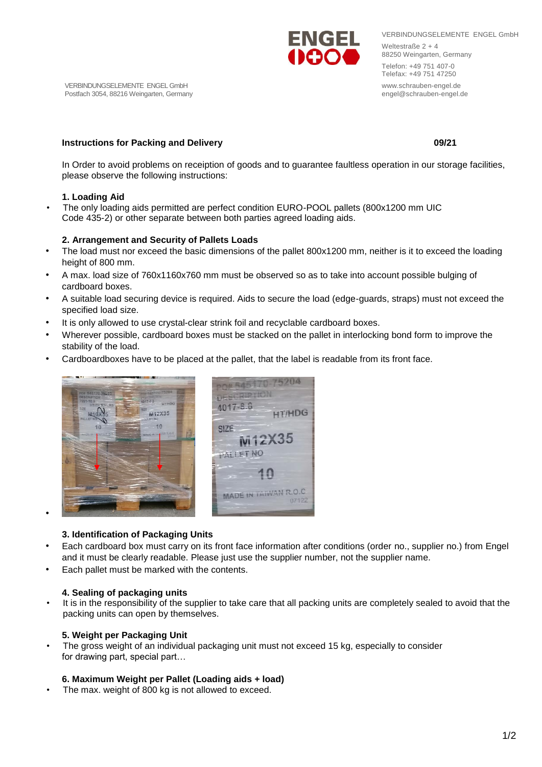VERBINDUNGSELEMENTE ENGEL GmbH Weltestraße 2 + 4 88250 Weingarten, Germany Telefon: +49 751 407-0 Telefax: +49 751 47250 www.schrauben-engel.de engel@schrauben-engel.de

# **Instructions for Packing and Delivery Community Community Community Community Community Community Community Community Community Community Community Community Community Community Community Community Community Community Com**

In Order to avoid problems on receiption of goods and to guarantee faultless operation in our storage facilities, please observe the following instructions:

# **1. Loading Aid**

• The only loading aids permitted are perfect condition EURO-POOL pallets (800x1200 mm UIC Code 435-2) or other separate between both parties agreed loading aids.

# **2. Arrangement and Security of Pallets Loads**

- The load must nor exceed the basic dimensions of the pallet 800x1200 mm, neither is it to exceed the loading height of 800 mm.
- A max. load size of 760x1160x760 mm must be observed so as to take into account possible bulging of cardboard boxes.
- A suitable load securing device is required. Aids to secure the load (edge-guards, straps) must not exceed the specified load size.
- It is only allowed to use crystal-clear strink foil and recyclable cardboard boxes.
- Wherever possible, cardboard boxes must be stacked on the pallet in interlocking bond form to improve the stability of the load.
- Cardboardboxes have to be placed at the pallet, that the label is readable from its front face.

- **3. Identification of Packaging Units**
- Each cardboard box must carry on its front face information after conditions (order no., supplier no.) from Engel and it must be clearly readable. Please just use the supplier number, not the supplier name.
- Each pallet must be marked with the contents.

## **4. Sealing of packaging units**

• It is in the responsibility of the supplier to take care that all packing units are completely sealed to avoid that the packing units can open by themselves.

# **5. Weight per Packaging Unit**

The gross weight of an individual packaging unit must not exceed 15 kg, especially to consider for drawing part, special part…

## **6. Maximum Weight per Pallet (Loading aids + load)**

The max. weight of 800 kg is not allowed to exceed.

# pne 545170-75204 DESCRIPTION 4017-8.8 **HT/HDG** M12X35  $10$ SIZE M12X35 PALLET NO MADE IN TAIWAN R.O.C **EXPERIMENT OF PERSONAL PROPERTY AND INCOME.**



VERBINDUNGSELEMENTE ENGEL GmbH Postfach 3054, 88216 Weingarten, Germany